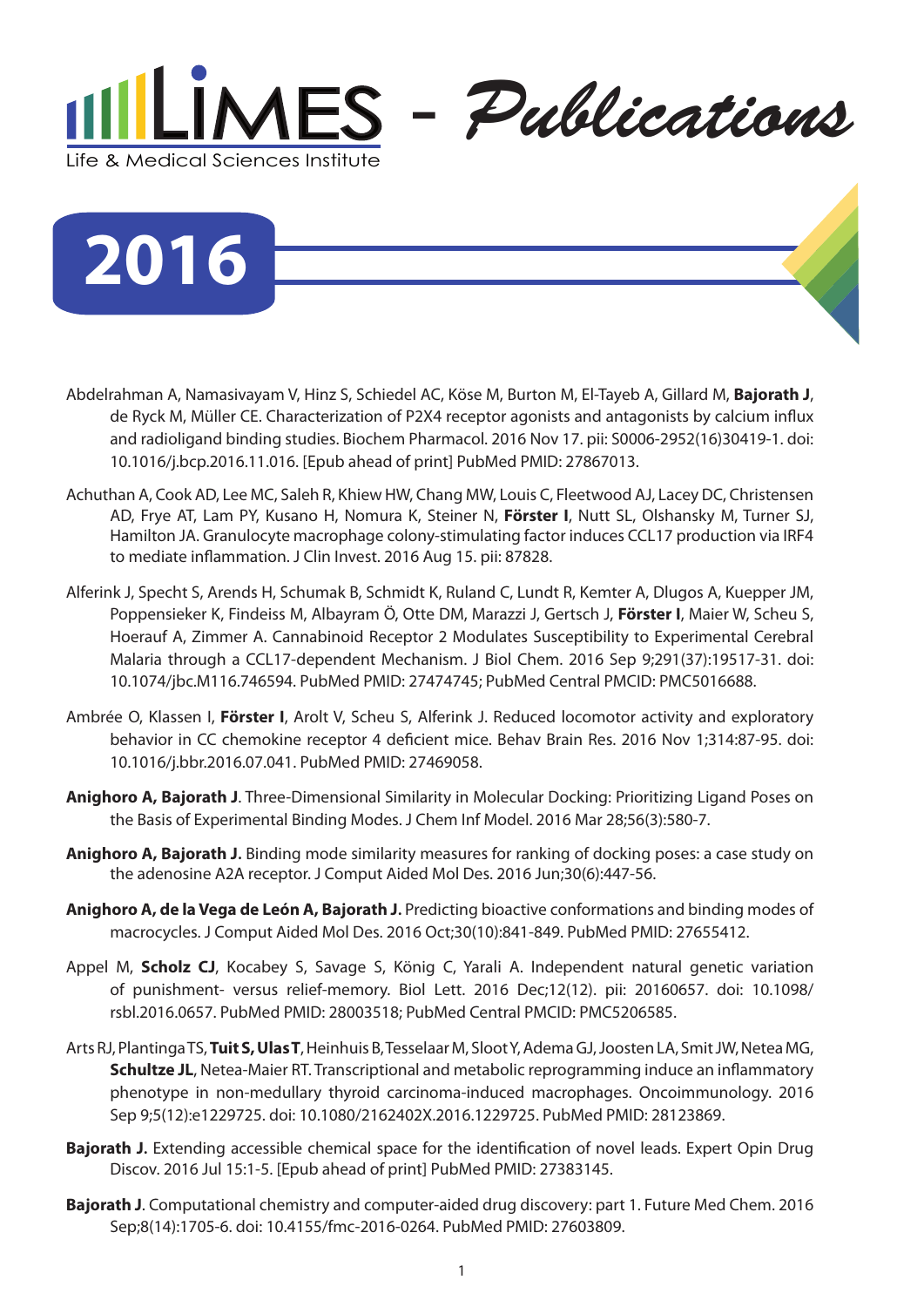

**2016**

- Abdelrahman A, Namasivayam V, Hinz S, Schiedel AC, Köse M, Burton M, El-Tayeb A, Gillard M, **Bajorath J**, de Ryck M, Müller CE. Characterization of P2X4 receptor agonists and antagonists by calcium influx and radioligand binding studies. Biochem Pharmacol. 2016 Nov 17. pii: S0006-2952(16)30419-1. doi: 10.1016/j.bcp.2016.11.016. [Epub ahead of print] PubMed PMID: 27867013.
- Achuthan A, Cook AD, Lee MC, Saleh R, Khiew HW, Chang MW, Louis C, Fleetwood AJ, Lacey DC, Christensen AD, Frye AT, Lam PY, Kusano H, Nomura K, Steiner N, **Förster I**, Nutt SL, Olshansky M, Turner SJ, Hamilton JA. [Granulocyte macrophage colony-stimulating factor induces CCL17 production via IRF4](http://www.ncbi.nlm.nih.gov/pubmed/27525438)  [to mediate inflammation.](http://www.ncbi.nlm.nih.gov/pubmed/27525438) J Clin Invest. 2016 Aug 15. pii: 87828.
- Alferink J, Specht S, Arends H, Schumak B, Schmidt K, Ruland C, Lundt R, Kemter A, Dlugos A, Kuepper JM, Poppensieker K, Findeiss M, Albayram Ö, Otte DM, Marazzi J, Gertsch J, **Förster I**, Maier W, Scheu S, Hoerauf A, Zimmer A. Cannabinoid Receptor 2 Modulates Susceptibility to Experimental Cerebral Malaria through a CCL17-dependent Mechanism. J Biol Chem. 2016 Sep 9;291(37):19517-31. doi: 10.1074/jbc.M116.746594. PubMed PMID: 27474745; PubMed Central PMCID: PMC5016688.
- Ambrée O, Klassen I, **Förster I**, Arolt V, Scheu S, Alferink J. Reduced locomotor activity and exploratory behavior in CC chemokine receptor 4 deficient mice. Behav Brain Res. 2016 Nov 1;314:87-95. doi: 10.1016/j.bbr.2016.07.041. PubMed PMID: 27469058.
- **Anighoro A, Bajorath J**. Three-Dimensional Similarity in Molecular Docking: Prioritizing Ligand Poses on the Basis of Experimental Binding Modes. J Chem Inf Model. 2016 Mar 28;56(3):580-7.
- **Anighoro A, Bajorath J.** Binding mode similarity measures for ranking of docking poses: a case study on the adenosine A2A receptor. J Comput Aided Mol Des. 2016 Jun;30(6):447-56.
- **Anighoro A, de la Vega de León A, Bajorath J.** Predicting bioactive conformations and binding modes of macrocycles. J Comput Aided Mol Des. 2016 Oct;30(10):841-849. PubMed PMID: 27655412.
- Appel M, **Scholz CJ**, Kocabey S, Savage S, König C, Yarali A. Independent natural genetic variation of punishment- versus relief-memory. Biol Lett. 2016 Dec;12(12). pii: 20160657. doi: 10.1098/ rsbl.2016.0657. PubMed PMID: 28003518; PubMed Central PMCID: PMC5206585.
- Arts RJ, Plantinga TS, **Tuit S, Ulas T**, Heinhuis B, Tesselaar M, Sloot Y, Adema GJ, Joosten LA, Smit JW, Netea MG, **Schultze JL**, Netea-Maier RT. Transcriptional and metabolic reprogramming induce an inflammatory phenotype in non-medullary thyroid carcinoma-induced macrophages. Oncoimmunology. 2016 Sep 9;5(12):e1229725. doi: 10.1080/2162402X.2016.1229725. PubMed PMID: 28123869.
- **Bajorath J.** Extending accessible chemical space for the identification of novel leads. Expert Opin Drug Discov. 2016 Jul 15:1-5. [Epub ahead of print] PubMed PMID: 27383145.
- **Bajorath J**. Computational chemistry and computer-aided drug discovery: part 1. Future Med Chem. 2016 Sep;8(14):1705-6. doi: 10.4155/fmc-2016-0264. PubMed PMID: 27603809.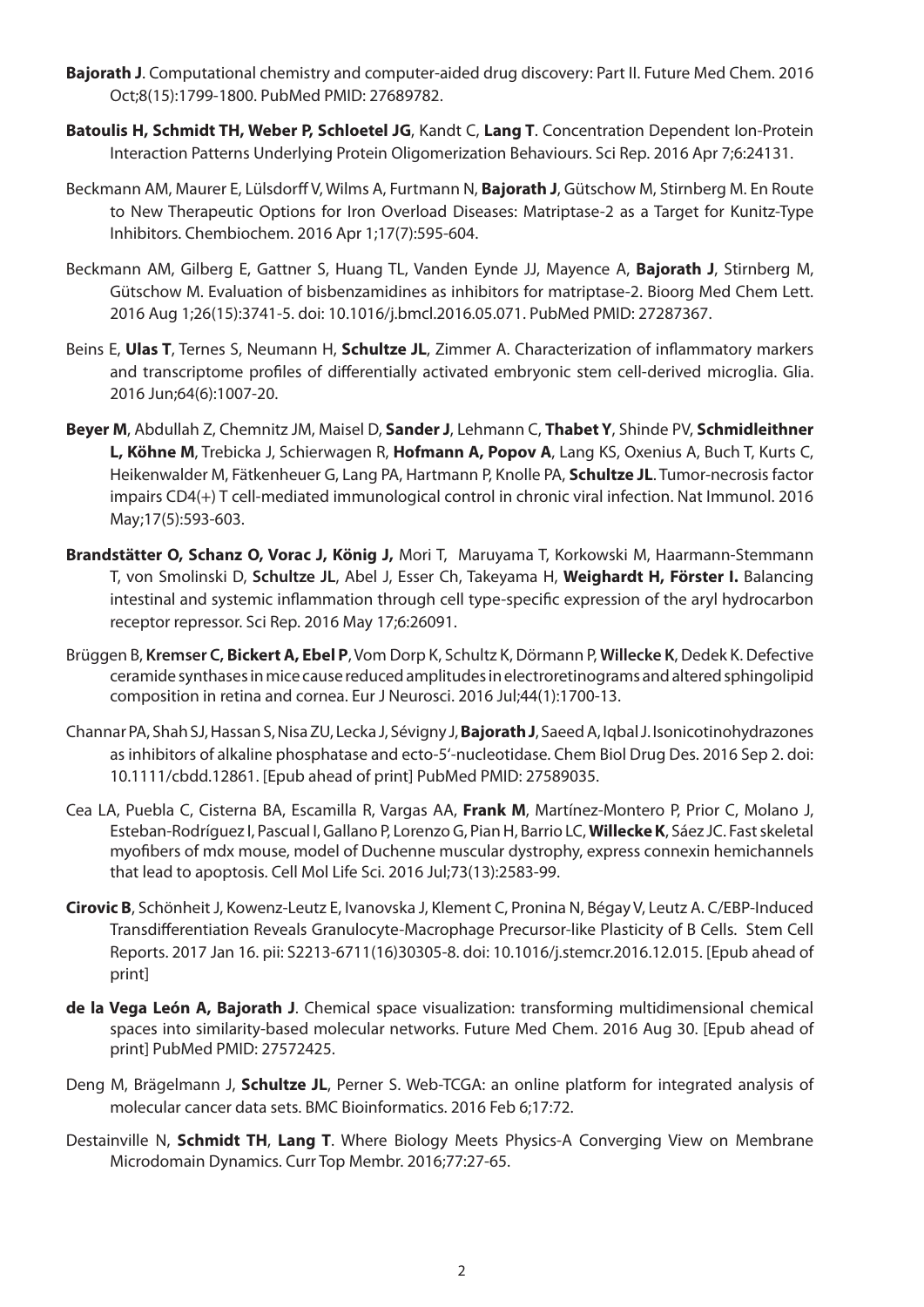- **Bajorath J**. Computational chemistry and computer-aided drug discovery: Part II. Future Med Chem. 2016 Oct;8(15):1799-1800. PubMed PMID: 27689782.
- **Batoulis H, Schmidt TH, Weber P, Schloetel JG**, Kandt C, **Lang T**. Concentration Dependent Ion-Protein Interaction Patterns Underlying Protein Oligomerization Behaviours. Sci Rep. 2016 Apr 7;6:24131.
- Beckmann AM, Maurer E, Lülsdorff V, Wilms A, Furtmann N, **Bajorath J**, Gütschow M, Stirnberg M. En Route to New Therapeutic Options for Iron Overload Diseases: Matriptase-2 as a Target for Kunitz-Type Inhibitors. Chembiochem. 2016 Apr 1;17(7):595-604.
- Beckmann AM, Gilberg E, Gattner S, Huang TL, Vanden Eynde JJ, Mayence A, **Bajorath J**, Stirnberg M, Gütschow M. Evaluation of bisbenzamidines as inhibitors for matriptase-2. Bioorg Med Chem Lett. 2016 Aug 1;26(15):3741-5. doi: 10.1016/j.bmcl.2016.05.071. PubMed PMID: 27287367.
- Beins E, **Ulas T**, Ternes S, Neumann H, **Schultze JL**, Zimmer A. Characterization of inflammatory markers and transcriptome profiles of differentially activated embryonic stem cell-derived microglia. Glia. 2016 Jun;64(6):1007-20.
- **Beyer M**, Abdullah Z, Chemnitz JM, Maisel D, **Sander J**, Lehmann C, **Thabet Y**, Shinde PV, **Schmidleithner L, Köhne M**, Trebicka J, Schierwagen R, **Hofmann A, Popov A**, Lang KS, Oxenius A, Buch T, Kurts C, Heikenwalder M, Fätkenheuer G, Lang PA, Hartmann P, Knolle PA, **Schultze JL**. Tumor-necrosis factor impairs CD4(+) T cell-mediated immunological control in chronic viral infection. Nat Immunol. 2016 May;17(5):593-603.
- **Brandstätter O, Schanz O, Vorac J, König J,** Mori T, Maruyama T, Korkowski M, Haarmann-Stemmann T, von Smolinski D, **Schultze JL**, Abel J, Esser Ch, Takeyama H, **Weighardt H, Förster I.** Balancing intestinal and systemic inflammation through cell type-specific expression of the aryl hydrocarbon receptor repressor. Sci Rep. 2016 May 17;6:26091.
- Brüggen B, **Kremser C, Bickert A, Ebel P**, Vom Dorp K, Schultz K, Dörmann P, **Willecke K**, Dedek K. Defective ceramide synthases in mice cause reduced amplitudes in electroretinograms and altered sphingolipid composition in retina and cornea. Eur J Neurosci. 2016 Jul;44(1):1700-13.
- Channar PA, Shah SJ, Hassan S, Nisa ZU, Lecka J, Sévigny J, **Bajorath J**, Saeed A, Iqbal J. Isonicotinohydrazones as inhibitors of alkaline phosphatase and ecto-5'-nucleotidase. Chem Biol Drug Des. 2016 Sep 2. doi: 10.1111/cbdd.12861. [Epub ahead of print] PubMed PMID: 27589035.
- Cea LA, Puebla C, Cisterna BA, Escamilla R, Vargas AA, **Frank M**, Martínez-Montero P, Prior C, Molano J, Esteban-Rodríguez I, Pascual I, Gallano P, Lorenzo G, Pian H, Barrio LC, **Willecke K**, Sáez JC. Fast skeletal myofibers of mdx mouse, model of Duchenne muscular dystrophy, express connexin hemichannels that lead to apoptosis. Cell Mol Life Sci. 2016 Jul;73(13):2583-99.
- **Cirovic B**, Schönheit J, Kowenz-Leutz E, Ivanovska J, Klement C, Pronina N, Bégay V, Leutz A. C/EBP-Induced Transdifferentiation Reveals Granulocyte-Macrophage Precursor-like Plasticity of B Cells. Stem Cell Reports. 2017 Jan 16. pii: S2213-6711(16)30305-8. doi: 10.1016/j.stemcr.2016.12.015. [Epub ahead of print]
- **de la Vega León A, Bajorath J**. Chemical space visualization: transforming multidimensional chemical spaces into similarity-based molecular networks. Future Med Chem. 2016 Aug 30. [Epub ahead of print] PubMed PMID: 27572425.
- Deng M, Brägelmann J, **Schultze JL**, Perner S. Web-TCGA: an online platform for integrated analysis of molecular cancer data sets. BMC Bioinformatics. 2016 Feb 6;17:72.
- Destainville N, **Schmidt TH**, **Lang T**. Where Biology Meets Physics-A Converging View on Membrane Microdomain Dynamics. Curr Top Membr. 2016;77:27-65.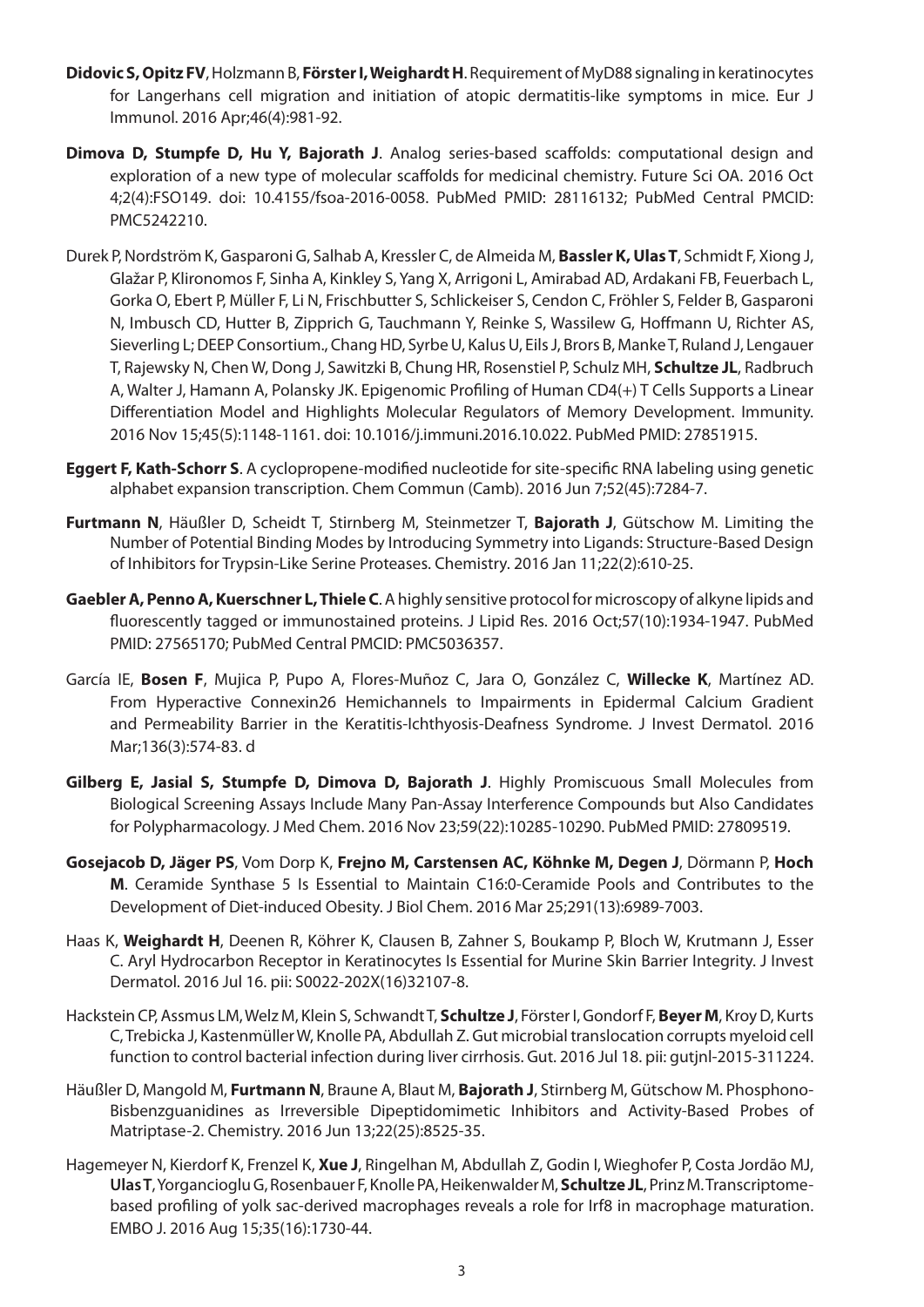- **Didovic S, Opitz FV**, Holzmann B, **Förster I, Weighardt H**. Requirement of MyD88 signaling in keratinocytes for Langerhans cell migration and initiation of atopic dermatitis-like symptoms in mice. Eur J Immunol. 2016 Apr;46(4):981-92.
- **Dimova D, Stumpfe D, Hu Y, Bajorath J**. Analog series-based scaffolds: computational design and exploration of a new type of molecular scaffolds for medicinal chemistry. Future Sci OA. 2016 Oct 4;2(4):FSO149. doi: 10.4155/fsoa-2016-0058. PubMed PMID: 28116132; PubMed Central PMCID: PMC5242210.
- Durek P, Nordström K, Gasparoni G, Salhab A, Kressler C, de Almeida M, **Bassler K, Ulas T**, Schmidt F, Xiong J, Glažar P, Klironomos F, Sinha A, Kinkley S, Yang X, Arrigoni L, Amirabad AD, Ardakani FB, Feuerbach L, Gorka O, Ebert P, Müller F, Li N, Frischbutter S, Schlickeiser S, Cendon C, Fröhler S, Felder B, Gasparoni N, Imbusch CD, Hutter B, Zipprich G, Tauchmann Y, Reinke S, Wassilew G, Hoffmann U, Richter AS, Sieverling L; DEEP Consortium., Chang HD, Syrbe U, Kalus U, Eils J, Brors B, Manke T, Ruland J, Lengauer T, Rajewsky N, Chen W, Dong J, Sawitzki B, Chung HR, Rosenstiel P, Schulz MH, **Schultze JL**, Radbruch A, Walter J, Hamann A, Polansky JK. Epigenomic Profiling of Human CD4(+) T Cells Supports a Linear Differentiation Model and Highlights Molecular Regulators of Memory Development. Immunity. 2016 Nov 15;45(5):1148-1161. doi: 10.1016/j.immuni.2016.10.022. PubMed PMID: 27851915.
- **Eggert F, Kath-Schorr S**. A cyclopropene-modified nucleotide for site-specific RNA labeling using genetic alphabet expansion transcription. Chem Commun (Camb). 2016 Jun 7;52(45):7284-7.
- **Furtmann N**, Häußler D, Scheidt T, Stirnberg M, Steinmetzer T, **Bajorath J**, Gütschow M. Limiting the Number of Potential Binding Modes by Introducing Symmetry into Ligands: Structure-Based Design of Inhibitors for Trypsin-Like Serine Proteases. Chemistry. 2016 Jan 11;22(2):610-25.
- **Gaebler A, Penno A, Kuerschner L, Thiele C**. A highly sensitive protocol for microscopy of alkyne lipids and fluorescently tagged or immunostained proteins. J Lipid Res. 2016 Oct;57(10):1934-1947. PubMed PMID: 27565170; PubMed Central PMCID: PMC5036357.
- García IE, **Bosen F**, Mujica P, Pupo A, Flores-Muñoz C, Jara O, González C, **Willecke K**, Martínez AD. From Hyperactive Connexin26 Hemichannels to Impairments in Epidermal Calcium Gradient and Permeability Barrier in the Keratitis-Ichthyosis-Deafness Syndrome. J Invest Dermatol. 2016 Mar;136(3):574-83. d
- **Gilberg E, Jasial S, Stumpfe D, Dimova D, Bajorath J**. Highly Promiscuous Small Molecules from Biological Screening Assays Include Many Pan-Assay Interference Compounds but Also Candidates for Polypharmacology. J Med Chem. 2016 Nov 23;59(22):10285-10290. PubMed PMID: 27809519.
- **Gosejacob D, Jäger PS**, Vom Dorp K, **Frejno M, Carstensen AC, Köhnke M, Degen J**, Dörmann P, **Hoch M**. Ceramide Synthase 5 Is Essential to Maintain C16:0-Ceramide Pools and Contributes to the Development of Diet-induced Obesity. J Biol Chem. 2016 Mar 25;291(13):6989-7003.
- Haas K, **Weighardt H**, Deenen R, Köhrer K, Clausen B, Zahner S, Boukamp P, Bloch W, Krutmann J, Esser C. [Aryl Hydrocarbon Receptor in Keratinocytes Is Essential for Murine Skin Barrier Integrity.](http://www.ncbi.nlm.nih.gov/pubmed/27430407) J Invest Dermatol. 2016 Jul 16. pii: S0022-202X(16)32107-8.
- Hackstein CP, Assmus LM, Welz M, Klein S, Schwandt T, **Schultze J**, Förster I, Gondorf F, **Beyer M**, Kroy D, Kurts C, Trebicka J, Kastenmüller W, Knolle PA, Abdullah Z. Gut microbial translocation corrupts myeloid cell function to control bacterial infection during liver cirrhosis. Gut. 2016 Jul 18. pii: gutjnl-2015-311224.
- Häußler D, Mangold M, **Furtmann N**, Braune A, Blaut M, **Bajorath J**, Stirnberg M, Gütschow M. Phosphono-Bisbenzguanidines as Irreversible Dipeptidomimetic Inhibitors and Activity-Based Probes of Matriptase-2. Chemistry. 2016 Jun 13;22(25):8525-35.
- Hagemeyer N, Kierdorf K, Frenzel K, **Xue J**, Ringelhan M, Abdullah Z, Godin I, Wieghofer P, Costa Jordão MJ, **Ulas T**, Yorgancioglu G, Rosenbauer F, Knolle PA, Heikenwalder M, **Schultze JL**, Prinz M. Transcriptomebased profiling of yolk sac-derived macrophages reveals a role for Irf8 in macrophage maturation. EMBO J. 2016 Aug 15;35(16):1730-44.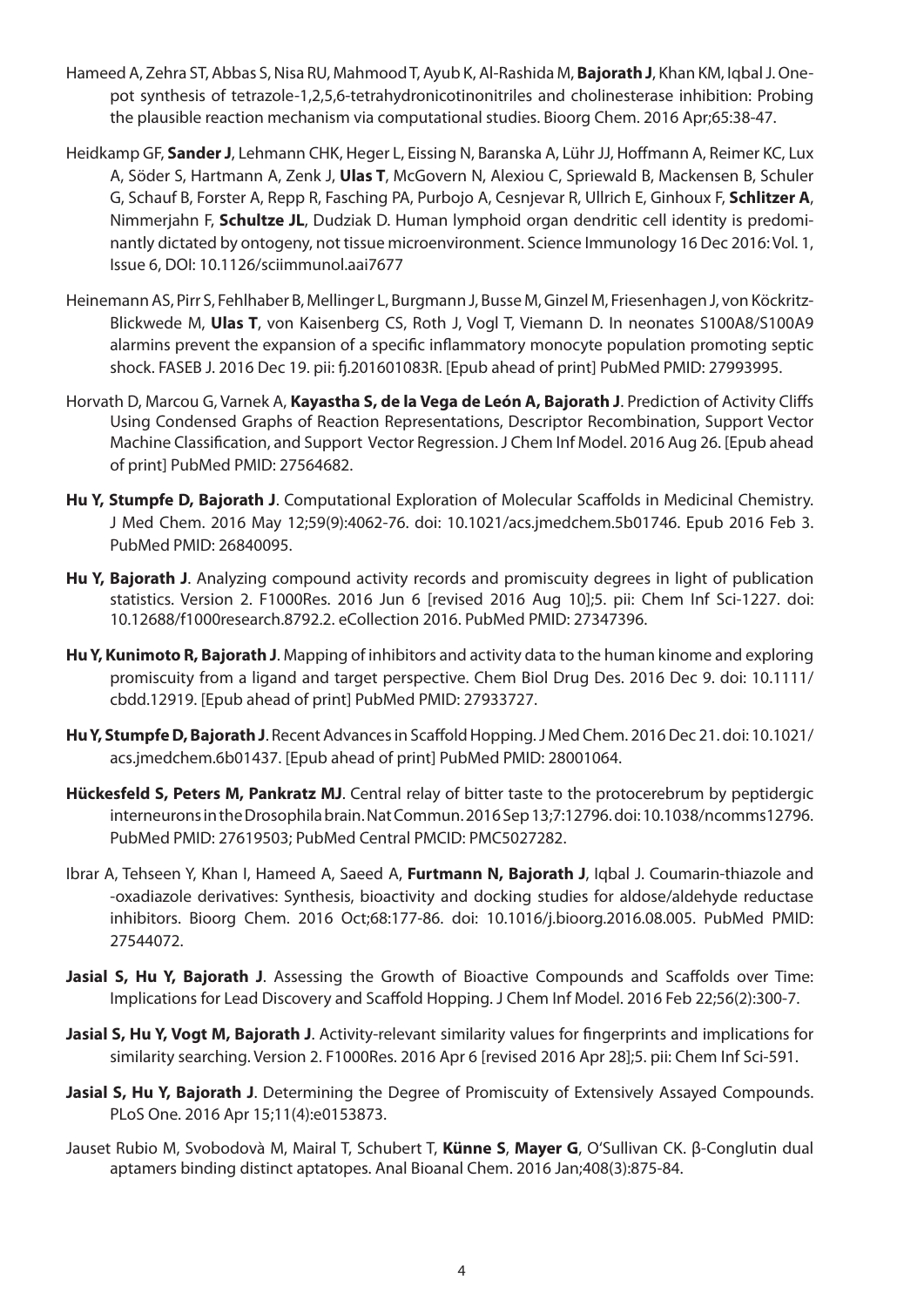- Hameed A, Zehra ST, Abbas S, Nisa RU, Mahmood T, Ayub K, Al-Rashida M, **Bajorath J**, Khan KM, Iqbal J. Onepot synthesis of tetrazole-1,2,5,6-tetrahydronicotinonitriles and cholinesterase inhibition: Probing the plausible reaction mechanism via computational studies. Bioorg Chem. 2016 Apr;65:38-47.
- Heidkamp GF, **Sander J**, Lehmann CHK, Heger L, Eissing N, Baranska A, Lühr JJ, Hoffmann A, Reimer KC, Lux A, Söder S, Hartmann A, Zenk J, **Ulas T**, McGovern N, Alexiou C, Spriewald B, Mackensen B, Schuler G, Schauf B, Forster A, Repp R, Fasching PA, Purbojo A, Cesnjevar R, Ullrich E, Ginhoux F, **Schlitzer A**, Nimmerjahn F, **Schultze JL**, Dudziak D. Human lymphoid organ dendritic cell identity is predominantly dictated by ontogeny, not tissue microenvironment. Science Immunology 16 Dec 2016: Vol. 1, Issue 6, DOI: 10.1126/sciimmunol.aai7677
- Heinemann AS, Pirr S, Fehlhaber B, Mellinger L, Burgmann J, Busse M, Ginzel M, Friesenhagen J, von Köckritz-Blickwede M, **Ulas T**, von Kaisenberg CS, Roth J, Vogl T, Viemann D. In neonates S100A8/S100A9 alarmins prevent the expansion of a specific inflammatory monocyte population promoting septic shock. FASEB J. 2016 Dec 19. pii: fj.201601083R. [Epub ahead of print] PubMed PMID: 27993995.
- Horvath D, Marcou G, Varnek A, **Kayastha S, de la Vega de León A, Bajorath J**. Prediction of Activity Cliffs Using Condensed Graphs of Reaction Representations, Descriptor Recombination, Support Vector Machine Classification, and Support Vector Regression. J Chem Inf Model. 2016 Aug 26. [Epub ahead of print] PubMed PMID: 27564682.
- **Hu Y, Stumpfe D, Bajorath J**. Computational Exploration of Molecular Scaffolds in Medicinal Chemistry. J Med Chem. 2016 May 12;59(9):4062-76. doi: 10.1021/acs.jmedchem.5b01746. Epub 2016 Feb 3. PubMed PMID: 26840095.
- **Hu Y, Bajorath J**. Analyzing compound activity records and promiscuity degrees in light of publication statistics. Version 2. F1000Res. 2016 Jun 6 [revised 2016 Aug 10];5. pii: Chem Inf Sci-1227. doi: 10.12688/f1000research.8792.2. eCollection 2016. PubMed PMID: 27347396.
- **Hu Y, Kunimoto R, Bajorath J.** Mapping of inhibitors and activity data to the human kinome and exploring promiscuity from a ligand and target perspective. Chem Biol Drug Des. 2016 Dec 9. doi: 10.1111/ cbdd.12919. [Epub ahead of print] PubMed PMID: 27933727.
- **Hu Y, Stumpfe D, Bajorath J**. Recent Advances in Scaffold Hopping. J Med Chem. 2016 Dec 21. doi: 10.1021/ acs.jmedchem.6b01437. [Epub ahead of print] PubMed PMID: 28001064.
- **Hückesfeld S, Peters M, Pankratz MJ**. Central relay of bitter taste to the protocerebrum by peptidergic interneurons in the Drosophila brain. Nat Commun. 2016 Sep 13;7:12796. doi: 10.1038/ncomms12796. PubMed PMID: 27619503; PubMed Central PMCID: PMC5027282.
- Ibrar A, Tehseen Y, Khan I, Hameed A, Saeed A, **Furtmann N, Bajorath J**, Iqbal J. Coumarin-thiazole and -oxadiazole derivatives: Synthesis, bioactivity and docking studies for aldose/aldehyde reductase inhibitors. Bioorg Chem. 2016 Oct;68:177-86. doi: 10.1016/j.bioorg.2016.08.005. PubMed PMID: 27544072.
- **Jasial S, Hu Y, Bajorath J**. Assessing the Growth of Bioactive Compounds and Scaffolds over Time: Implications for Lead Discovery and Scaffold Hopping. J Chem Inf Model. 2016 Feb 22;56(2):300-7.
- **Jasial S, Hu Y, Vogt M, Bajorath J**. Activity-relevant similarity values for fingerprints and implications for similarity searching. Version 2. F1000Res. 2016 Apr 6 [revised 2016 Apr 28];5. pii: Chem Inf Sci-591.
- **Jasial S, Hu Y, Bajorath J**. Determining the Degree of Promiscuity of Extensively Assayed Compounds. PLoS One. 2016 Apr 15;11(4):e0153873.
- Jauset Rubio M, Svobodovà M, Mairal T, Schubert T, **Künne S**, **Mayer G**, O'Sullivan CK. β-Conglutin dual aptamers binding distinct aptatopes. Anal Bioanal Chem. 2016 Jan;408(3):875-84.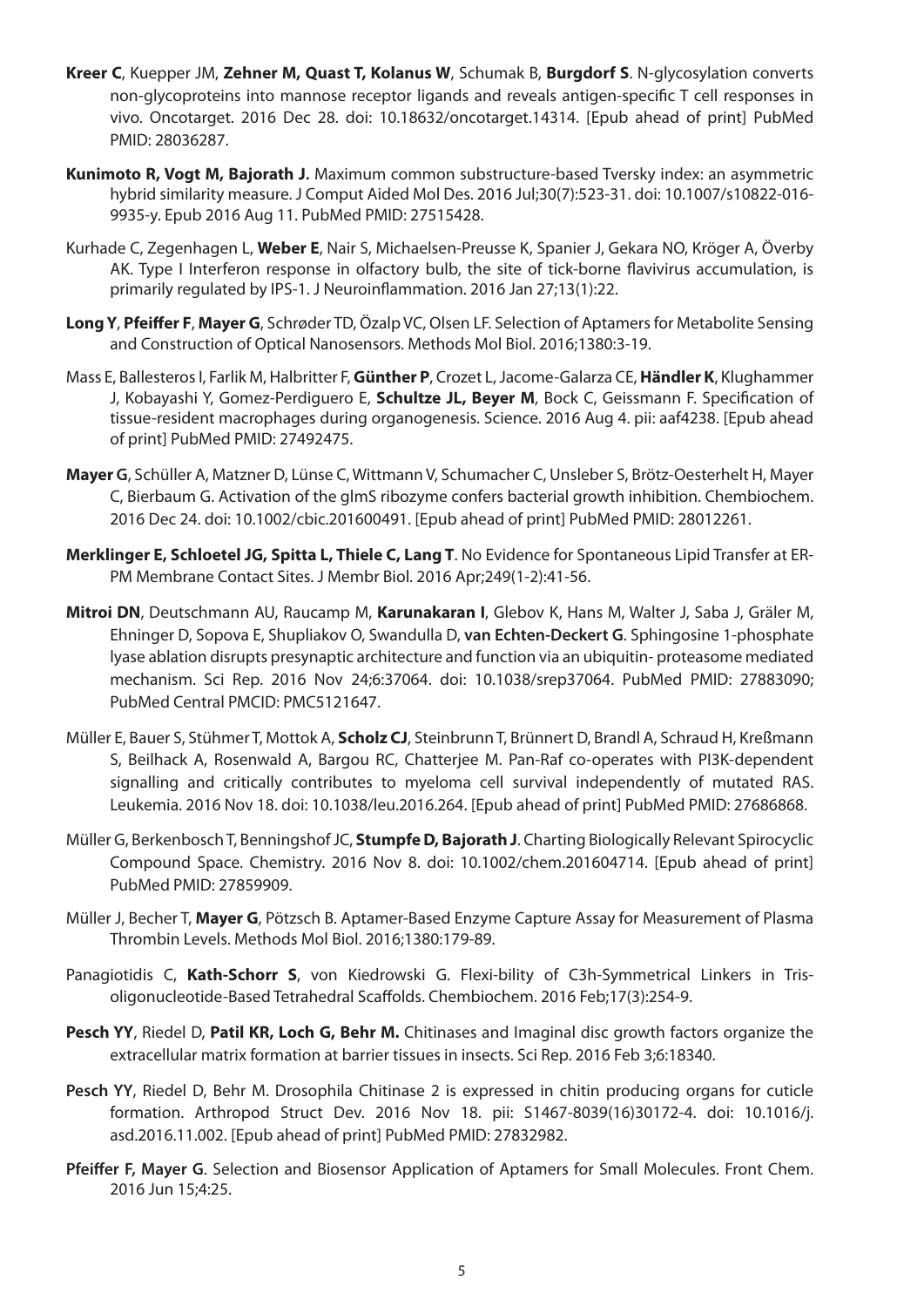- **Kreer C**, Kuepper JM, **Zehner M, Quast T, Kolanus W**, Schumak B, **Burgdorf S**. N-glycosylation converts non-glycoproteins into mannose receptor ligands and reveals antigen-specific T cell responses in vivo. Oncotarget. 2016 Dec 28. doi: 10.18632/oncotarget.14314. [Epub ahead of print] PubMed PMID: 28036287.
- **Kunimoto R, Vogt M, Bajorath J.** Maximum common substructure-based Tversky index: an asymmetric hybrid similarity measure. J Comput Aided Mol Des. 2016 Jul;30(7):523-31. doi: 10.1007/s10822-016- 9935-y. Epub 2016 Aug 11. PubMed PMID: 27515428.
- Kurhade C, Zegenhagen L, **Weber E**, Nair S, Michaelsen-Preusse K, Spanier J, Gekara NO, Kröger A, Överby AK. Type I Interferon response in olfactory bulb, the site of tick-borne flavivirus accumulation, is primarily regulated by IPS-1. J Neuroinflammation. 2016 Jan 27;13(1):22.
- **Long Y**, **Pfeiffer F**, **Mayer G**, Schrøder TD, Özalp VC, Olsen LF. Selection of Aptamers for Metabolite Sensing and Construction of Optical Nanosensors. Methods Mol Biol. 2016;1380:3-19.
- Mass E, Ballesteros I, Farlik M, Halbritter F, **Günther P**, Crozet L, Jacome-Galarza CE, **Händler K**, Klughammer J, Kobayashi Y, Gomez-Perdiguero E, **Schultze JL, Beyer M**, Bock C, Geissmann F. Specification of tissue-resident macrophages during organogenesis. Science. 2016 Aug 4. pii: aaf4238. [Epub ahead of print] PubMed PMID: 27492475.
- **Mayer G**, Schüller A, Matzner D, Lünse C, Wittmann V, Schumacher C, Unsleber S, Brötz-Oesterhelt H, Mayer C, Bierbaum G. Activation of the glmS ribozyme confers bacterial growth inhibition. Chembiochem. 2016 Dec 24. doi: 10.1002/cbic.201600491. [Epub ahead of print] PubMed PMID: 28012261.
- **Merklinger E, Schloetel JG, Spitta L, Thiele C, Lang T**. No Evidence for Spontaneous Lipid Transfer at ER-PM Membrane Contact Sites. J Membr Biol. 2016 Apr;249(1-2):41-56.
- **Mitroi DN**, Deutschmann AU, Raucamp M, **Karunakaran I**, Glebov K, Hans M, Walter J, Saba J, Gräler M, Ehninger D, Sopova E, Shupliakov O, Swandulla D, **van Echten-Deckert G**. Sphingosine 1-phosphate lyase ablation disrupts presynaptic architecture and function via an ubiquitin- proteasome mediated mechanism. Sci Rep. 2016 Nov 24;6:37064. doi: 10.1038/srep37064. PubMed PMID: 27883090; PubMed Central PMCID: PMC5121647.
- Müller E, Bauer S, Stühmer T, Mottok A, **Scholz CJ**, Steinbrunn T, Brünnert D, Brandl A, Schraud H, Kreßmann S, Beilhack A, Rosenwald A, Bargou RC, Chatterjee M. Pan-Raf co-operates with PI3K-dependent signalling and critically contributes to myeloma cell survival independently of mutated RAS. Leukemia. 2016 Nov 18. doi: 10.1038/leu.2016.264. [Epub ahead of print] PubMed PMID: 27686868.
- Müller G, Berkenbosch T, Benningshof JC, **Stumpfe D, Bajorath J**. Charting Biologically Relevant Spirocyclic Compound Space. Chemistry. 2016 Nov 8. doi: 10.1002/chem.201604714. [Epub ahead of print] PubMed PMID: 27859909.
- Müller J, Becher T, **Mayer G**, Pötzsch B. Aptamer-Based Enzyme Capture Assay for Measurement of Plasma Thrombin Levels. Methods Mol Biol. 2016;1380:179-89.
- Panagiotidis C, **Kath-Schorr S**, von Kiedrowski G. Flexi-bility of C3h-Symmetrical Linkers in Trisoligonucleotide-Based Tetrahedral Scaffolds. Chembiochem. 2016 Feb;17(3):254-9.
- **Pesch YY**, Riedel D, **Patil KR, Loch G, Behr M.** Chitinases and Imaginal disc growth factors organize the extracellular matrix formation at barrier tissues in insects. Sci Rep. 2016 Feb 3;6:18340.
- **Pesch YY**, Riedel D, Behr M. Drosophila Chitinase 2 is expressed in chitin producing organs for cuticle formation. Arthropod Struct Dev. 2016 Nov 18. pii: S1467-8039(16)30172-4. doi: 10.1016/j. asd.2016.11.002. [Epub ahead of print] PubMed PMID: 27832982.
- **Pfeiffer F, Mayer G**. Selection and Biosensor Application of Aptamers for Small Molecules. Front Chem. 2016 Jun 15;4:25.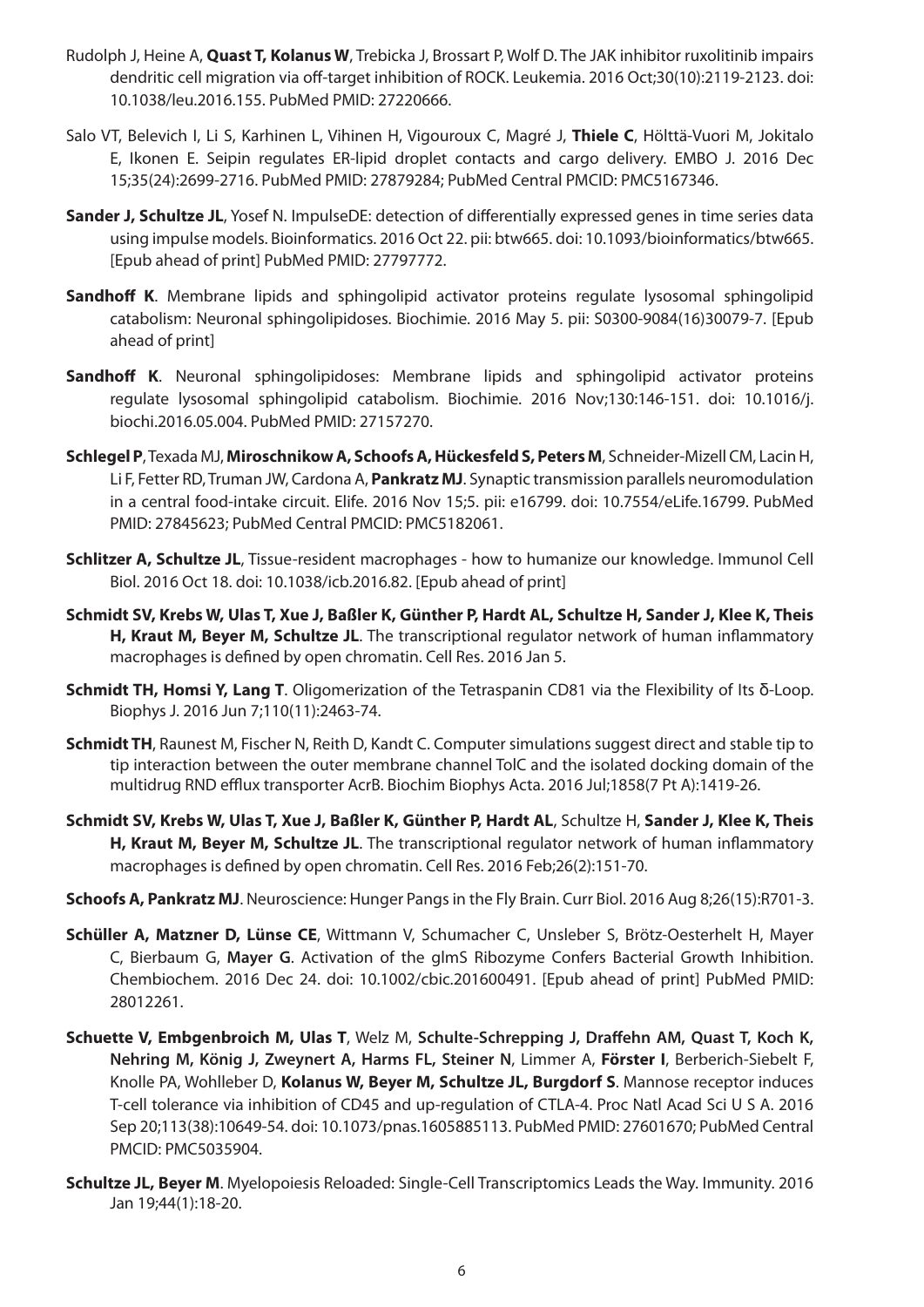- Rudolph J, Heine A, **Quast T, Kolanus W**, Trebicka J, Brossart P, Wolf D. The JAK inhibitor ruxolitinib impairs dendritic cell migration via off-target inhibition of ROCK. Leukemia. 2016 Oct;30(10):2119-2123. doi: 10.1038/leu.2016.155. PubMed PMID: 27220666.
- Salo VT, Belevich I, Li S, Karhinen L, Vihinen H, Vigouroux C, Magré J, **Thiele C**, Hölttä-Vuori M, Jokitalo E, Ikonen E. Seipin regulates ER-lipid droplet contacts and cargo delivery. EMBO J. 2016 Dec 15;35(24):2699-2716. PubMed PMID: 27879284; PubMed Central PMCID: PMC5167346.
- **Sander J, Schultze JL**, Yosef N. ImpulseDE: detection of differentially expressed genes in time series data using impulse models. Bioinformatics. 2016 Oct 22. pii: btw665. doi: 10.1093/bioinformatics/btw665. [Epub ahead of print] PubMed PMID: 27797772.
- **Sandhoff K**. Membrane lipids and sphingolipid activator proteins regulate lysosomal sphingolipid catabolism: Neuronal sphingolipidoses. Biochimie. 2016 May 5. pii: S0300-9084(16)30079-7. [Epub ahead of print]
- **Sandhoff K**. Neuronal sphingolipidoses: Membrane lipids and sphingolipid activator proteins regulate lysosomal sphingolipid catabolism. Biochimie. 2016 Nov;130:146-151. doi: 10.1016/j. biochi.2016.05.004. PubMed PMID: 27157270.
- **Schlegel P**, Texada MJ, **Miroschnikow A, Schoofs A, Hückesfeld S, Peters M**, Schneider-Mizell CM, Lacin H, Li F, Fetter RD, Truman JW, Cardona A, **Pankratz MJ**. Synaptic transmission parallels neuromodulation in a central food-intake circuit. Elife. 2016 Nov 15;5. pii: e16799. doi: 10.7554/eLife.16799. PubMed PMID: 27845623; PubMed Central PMCID: PMC5182061.
- **Schlitzer A, Schultze JL**, Tissue-resident macrophages how to humanize our knowledge. Immunol Cell Biol. 2016 Oct 18. doi: 10.1038/icb.2016.82. [Epub ahead of print]
- **Schmidt SV, Krebs W, Ulas T, Xue J, Baßler K, Günther P, Hardt AL, Schultze H, Sander J, Klee K, Theis H, Kraut M, Beyer M, Schultze JL**. The transcriptional regulator network of human inflammatory macrophages is defined by open chromatin. Cell Res. 2016 Jan 5.
- **Schmidt TH, Homsi Y, Lang T**. Oligomerization of the Tetraspanin CD81 via the Flexibility of Its δ-Loop. Biophys J. 2016 Jun 7;110(11):2463-74.
- **Schmidt TH**, Raunest M, Fischer N, Reith D, Kandt C. Computer simulations suggest direct and stable tip to tip interaction between the outer membrane channel TolC and the isolated docking domain of the multidrug RND efflux transporter AcrB. Biochim Biophys Acta. 2016 Jul;1858(7 Pt A):1419-26.
- **Schmidt SV, Krebs W, Ulas T, Xue J, Baßler K, Günther P, Hardt AL**, Schultze H, **Sander J, Klee K, Theis H, Kraut M, Beyer M, Schultze JL**. The transcriptional regulator network of human inflammatory macrophages is defined by open chromatin. Cell Res. 2016 Feb;26(2):151-70.
- **Schoofs A, Pankratz MJ**. Neuroscience: Hunger Pangs in the Fly Brain. Curr Biol. 2016 Aug 8;26(15):R701-3.
- **Schüller A, Matzner D, Lünse CE**, Wittmann V, Schumacher C, Unsleber S, Brötz-Oesterhelt H, Mayer C, Bierbaum G, **Mayer G**. Activation of the glmS Ribozyme Confers Bacterial Growth Inhibition. Chembiochem. 2016 Dec 24. doi: 10.1002/cbic.201600491. [Epub ahead of print] PubMed PMID: 28012261.
- **Schuette V, Embgenbroich M, Ulas T**, Welz M, **Schulte-Schrepping J, Draffehn AM, Quast T, Koch K, Nehring M, König J, Zweynert A, Harms FL, Steiner N**, Limmer A, **Förster I**, Berberich-Siebelt F, Knolle PA, Wohlleber D, **Kolanus W, Beyer M, Schultze JL, Burgdorf S**. Mannose receptor induces T-cell tolerance via inhibition of CD45 and up-regulation of CTLA-4. Proc Natl Acad Sci U S A. 2016 Sep 20;113(38):10649-54. doi: 10.1073/pnas.1605885113. PubMed PMID: 27601670; PubMed Central PMCID: PMC5035904.
- **Schultze JL, Beyer M**. Myelopoiesis Reloaded: Single-Cell Transcriptomics Leads the Way. Immunity. 2016 Jan 19;44(1):18-20.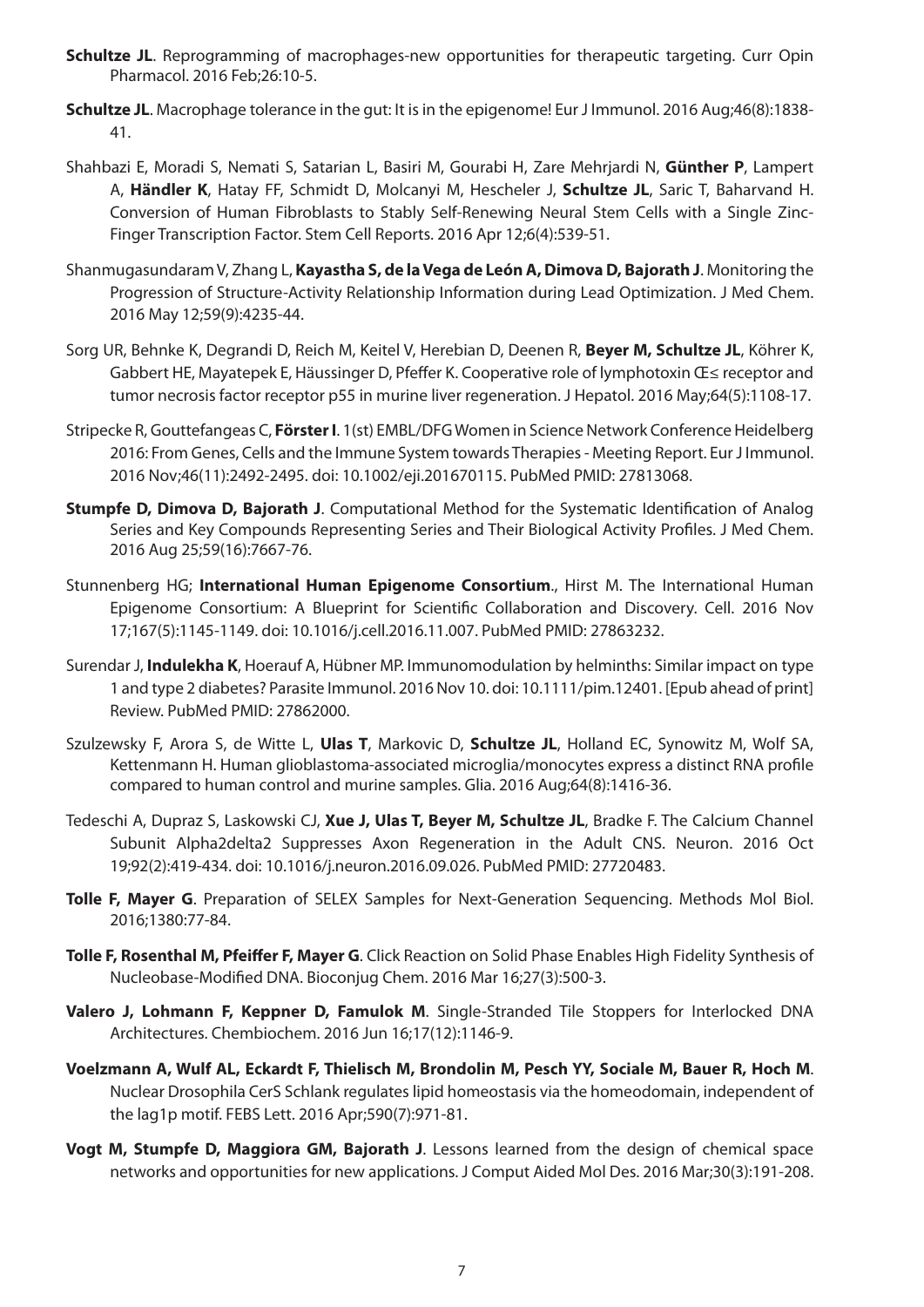- **Schultze JL**. Reprogramming of macrophages-new opportunities for therapeutic targeting. Curr Opin Pharmacol. 2016 Feb;26:10-5.
- **Schultze JL**. Macrophage tolerance in the gut: It is in the epigenome! Eur J Immunol. 2016 Aug;46(8):1838- 41.
- Shahbazi E, Moradi S, Nemati S, Satarian L, Basiri M, Gourabi H, Zare Mehrjardi N, **Günther P**, Lampert A, **Händler K**, Hatay FF, Schmidt D, Molcanyi M, Hescheler J, **Schultze JL**, Saric T, Baharvand H. Conversion of Human Fibroblasts to Stably Self-Renewing Neural Stem Cells with a Single Zinc-Finger Transcription Factor. Stem Cell Reports. 2016 Apr 12;6(4):539-51.
- Shanmugasundaram V, Zhang L, **Kayastha S, de la Vega de León A, Dimova D, Bajorath J**. Monitoring the Progression of Structure-Activity Relationship Information during Lead Optimization. J Med Chem. 2016 May 12;59(9):4235-44.
- Sorg UR, Behnke K, Degrandi D, Reich M, Keitel V, Herebian D, Deenen R, **Beyer M, Schultze JL**, Köhrer K, Gabbert HE, Mayatepek E, Häussinger D, Pfeffer K. Cooperative role of lymphotoxin Œ≤ receptor and tumor necrosis factor receptor p55 in murine liver regeneration. J Hepatol. 2016 May;64(5):1108-17.
- Stripecke R, Gouttefangeas C, **Förster I**. 1(st) EMBL/DFG Women in Science Network Conference Heidelberg 2016: From Genes, Cells and the Immune System towards Therapies - Meeting Report. Eur J Immunol. 2016 Nov;46(11):2492-2495. doi: 10.1002/eji.201670115. PubMed PMID: 27813068.
- **Stumpfe D, Dimova D, Bajorath J**. Computational Method for the Systematic Identification of Analog Series and Key Compounds Representing Series and Their Biological Activity Profiles. J Med Chem. 2016 Aug 25;59(16):7667-76.
- Stunnenberg HG; **International Human Epigenome Consortium**., Hirst M. The International Human Epigenome Consortium: A Blueprint for Scientific Collaboration and Discovery. Cell. 2016 Nov 17;167(5):1145-1149. doi: 10.1016/j.cell.2016.11.007. PubMed PMID: 27863232.
- Surendar J, **Indulekha K**, Hoerauf A, Hübner MP. Immunomodulation by helminths: Similar impact on type 1 and type 2 diabetes? Parasite Immunol. 2016 Nov 10. doi: 10.1111/pim.12401. [Epub ahead of print] Review. PubMed PMID: 27862000.
- Szulzewsky F, Arora S, de Witte L, **Ulas T**, Markovic D, **Schultze JL**, Holland EC, Synowitz M, Wolf SA, Kettenmann H. Human glioblastoma-associated microglia/monocytes express a distinct RNA profile compared to human control and murine samples. Glia. 2016 Aug;64(8):1416-36.
- Tedeschi A, Dupraz S, Laskowski CJ, **Xue J, Ulas T, Beyer M, Schultze JL**, Bradke F. The Calcium Channel Subunit Alpha2delta2 Suppresses Axon Regeneration in the Adult CNS. Neuron. 2016 Oct 19;92(2):419-434. doi: 10.1016/j.neuron.2016.09.026. PubMed PMID: 27720483.
- **Tolle F, Mayer G**. Preparation of SELEX Samples for Next-Generation Sequencing. Methods Mol Biol. 2016;1380:77-84.
- **Tolle F, Rosenthal M, Pfeiffer F, Mayer G**. Click Reaction on Solid Phase Enables High Fidelity Synthesis of Nucleobase-Modified DNA. Bioconjug Chem. 2016 Mar 16;27(3):500-3.
- **Valero J, Lohmann F, Keppner D, Famulok M**. Single-Stranded Tile Stoppers for Interlocked DNA Architectures. Chembiochem. 2016 Jun 16;17(12):1146-9.
- **Voelzmann A, Wulf AL, Eckardt F, Thielisch M, Brondolin M, Pesch YY, Sociale M, Bauer R, Hoch M**. Nuclear Drosophila CerS Schlank regulates lipid homeostasis via the homeodomain, independent of the lag1p motif. FEBS Lett. 2016 Apr;590(7):971-81.
- **Vogt M, Stumpfe D, Maggiora GM, Bajorath J**. Lessons learned from the design of chemical space networks and opportunities for new applications. J Comput Aided Mol Des. 2016 Mar;30(3):191-208.